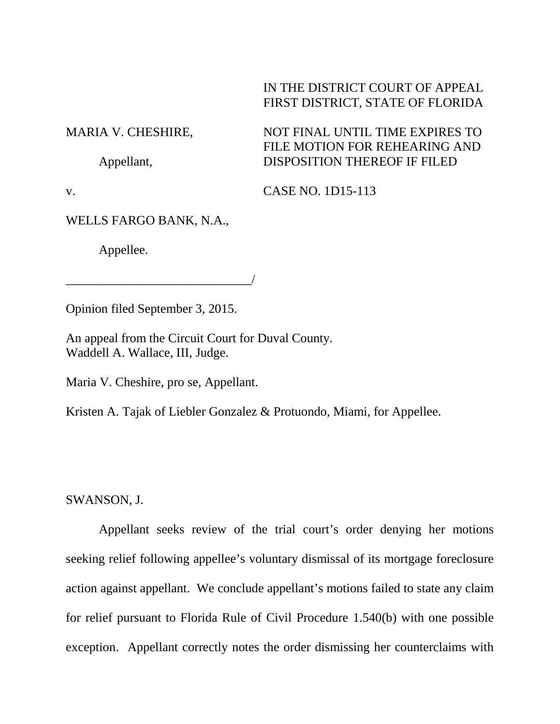## IN THE DISTRICT COURT OF APPEAL FIRST DISTRICT, STATE OF FLORIDA

NOT FINAL UNTIL TIME EXPIRES TO FILE MOTION FOR REHEARING AND

DISPOSITION THEREOF IF FILED

MARIA V. CHESHIRE,

Appellant,

v.

CASE NO. 1D15-113

WELLS FARGO BANK, N.A.,

Appellee.

Opinion filed September 3, 2015.

\_\_\_\_\_\_\_\_\_\_\_\_\_\_\_\_\_\_\_\_\_\_\_\_\_\_\_\_\_/

An appeal from the Circuit Court for Duval County. Waddell A. Wallace, III, Judge.

Maria V. Cheshire, pro se, Appellant.

Kristen A. Tajak of Liebler Gonzalez & Protuondo, Miami, for Appellee.

SWANSON, J.

Appellant seeks review of the trial court's order denying her motions seeking relief following appellee's voluntary dismissal of its mortgage foreclosure action against appellant. We conclude appellant's motions failed to state any claim for relief pursuant to Florida Rule of Civil Procedure 1.540(b) with one possible exception. Appellant correctly notes the order dismissing her counterclaims with